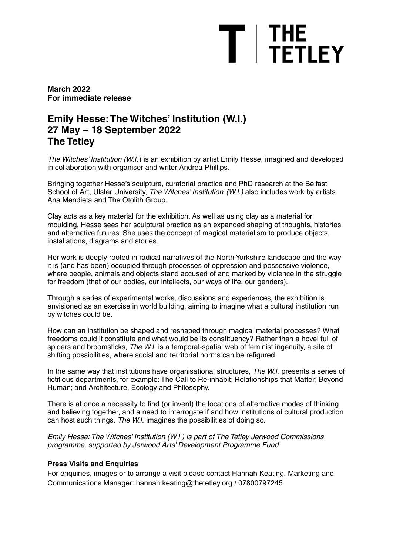# $T$  | THE<br> $T$  | TETLEY

**March 2022 For immediate release**

# **Emily Hesse:The Witches' Institution (W.I.) 27 May – 18 September 2022 The Tetley**

The Witches' Institution (W.I.) is an exhibition by artist Emily Hesse, imagined and developed in collaboration with organiser and writer Andrea Phillips.

Bringing together Hesse's sculpture, curatorial practice and PhD research at the Belfast School of Art, Ulster University, The Witches' Institution (W.I.) also includes work by artists Ana Mendieta and The Otolith Group.

Clay acts as a key material for the exhibition. As well as using clay as a material for moulding, Hesse sees her sculptural practice as an expanded shaping of thoughts, histories and alternative futures. She uses the concept of magical materialism to produce objects, installations, diagrams and stories.

Her work is deeply rooted in radical narratives of the North Yorkshire landscape and the way it is (and has been) occupied through processes of oppression and possessive violence, where people, animals and objects stand accused of and marked by violence in the struggle for freedom (that of our bodies, our intellects, our ways of life, our genders).

Through a series of experimental works, discussions and experiences, the exhibition is envisioned as an exercise in world building, aiming to imagine what a cultural institution run by witches could be.

How can an institution be shaped and reshaped through magical material processes? What freedoms could it constitute and what would be its constituency? Rather than a hovel full of spiders and broomsticks, The W.I. is a temporal-spatial web of feminist ingenuity, a site of shifting possibilities, where social and territorial norms can be refigured.

In the same way that institutions have organisational structures, The W.I. presents a series of fictitious departments, for example: The Call to Re-inhabit; Relationships that Matter; Beyond Human; and Architecture, Ecology and Philosophy.

There is at once a necessity to find (or invent) the locations of alternative modes of thinking and believing together, and a need to interrogate if and how institutions of cultural production can host such things. The W.I. imagines the possibilities of doing so.

Emily Hesse: The Witches' Institution (W.I.) is part of The Tetley Jerwood Commissions programme, supported by Jerwood Arts' Development Programme Fund

## **Press Visits and Enquiries**

For enquiries, images or to arrange a visit please contact Hannah Keating, Marketing and Communications Manager: hannah.keating@thetetley.org / 07800797245